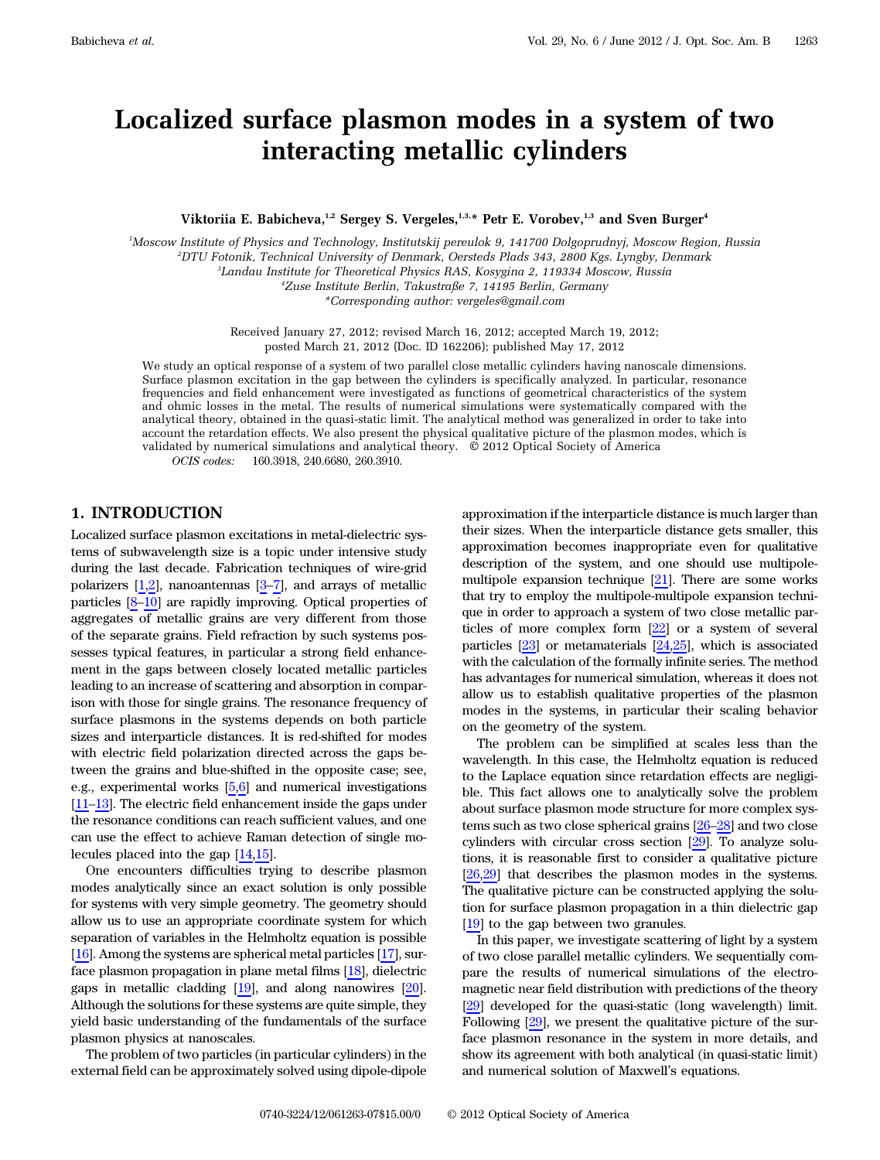# Localized surface plasmon modes in a system of two interacting metallic cylinders

Viktoriia E. Babicheva,<sup>1,2</sup> Sergey S. Vergeles,<sup>1,3,\*</sup> Petr E. Vorobev,<sup>1,3</sup> and Sven Burger<sup>4</sup>

1 Moscow Institute of Physics and Technology, Institutskij pereulok 9, 141700 Dolgoprudnyj, Moscow Region, Russia 2 DTU Fotonik, Technical University of Denmark, Oersteds Plads 343, 2800 Kgs. Lyngby, Denmark

3 Landau Institute for Theoretical Physics RAS, Kosygina 2, 119334 Moscow, Russia

4 Zuse Institute Berlin, Takustraße 7, 14195 Berlin, Germany

\*Corresponding author: vergeles@gmail.com

Received January 27, 2012; revised March 16, 2012; accepted March 19, 2012; posted March 21, 2012 (Doc. ID 162206); published May 17, 2012

We study an optical response of a system of two parallel close metallic cylinders having nanoscale dimensions. Surface plasmon excitation in the gap between the cylinders is specifically analyzed. In particular, resonance frequencies and field enhancement were investigated as functions of geometrical characteristics of the system and ohmic losses in the metal. The results of numerical simulations were systematically compared with the analytical theory, obtained in the quasi-static limit. The analytical method was generalized in order to take into account the retardation effects. We also present the physical qualitative picture of the plasmon modes, which is validated by numerical simulations and analytical theory. © 2012 Optical Society of America

OCIS codes: 160.3918, 240.6680, 260.3910.

### 1. INTRODUCTION

Localized surface plasmon excitations in metal-dielectric systems of subwavelength size is a topic under intensive study during the last decade. Fabrication techniques of wire-grid polarizers  $[1,2]$  $[1,2]$  $[1,2]$ , nanoantennas  $[3-7]$  $[3-7]$  $[3-7]$  $[3-7]$  $[3-7]$ , and arrays of metallic particles [\[8](#page-6-2)–[10](#page-6-3)] are rapidly improving. Optical properties of aggregates of metallic grains are very different from those of the separate grains. Field refraction by such systems possesses typical features, in particular a strong field enhancement in the gaps between closely located metallic particles leading to an increase of scattering and absorption in comparison with those for single grains. The resonance frequency of surface plasmons in the systems depends on both particle sizes and interparticle distances. It is red-shifted for modes with electric field polarization directed across the gaps between the grains and blue-shifted in the opposite case; see, e.g., experimental works [\[5](#page-6-4)[,6\]](#page-6-5) and numerical investigations [[11](#page-6-6)–[13](#page-6-7)]. The electric field enhancement inside the gaps under the resonance conditions can reach sufficient values, and one can use the effect to achieve Raman detection of single molecules placed into the gap [\[14](#page-6-8),[15\]](#page-6-9).

One encounters difficulties trying to describe plasmon modes analytically since an exact solution is only possible for systems with very simple geometry. The geometry should allow us to use an appropriate coordinate system for which separation of variables in the Helmholtz equation is possible [[16\]](#page-6-10). Among the systems are spherical metal particles [\[17](#page-6-11)], surface plasmon propagation in plane metal films [[18\]](#page-6-12), dielectric gaps in metallic cladding [\[19\]](#page-6-13), and along nanowires [[20\]](#page-6-14). Although the solutions for these systems are quite simple, they yield basic understanding of the fundamentals of the surface plasmon physics at nanoscales.

The problem of two particles (in particular cylinders) in the external field can be approximately solved using dipole-dipole

approximation if the interparticle distance is much larger than their sizes. When the interparticle distance gets smaller, this approximation becomes inappropriate even for qualitative description of the system, and one should use multipolemultipole expansion technique  $[21]$  $[21]$ . There are some works that try to employ the multipole-multipole expansion technique in order to approach a system of two close metallic particles of more complex form [\[22](#page-6-16)] or a system of several particles [[23\]](#page-6-17) or metamaterials [\[24](#page-6-18),[25\]](#page-6-19), which is associated with the calculation of the formally infinite series. The method has advantages for numerical simulation, whereas it does not allow us to establish qualitative properties of the plasmon modes in the systems, in particular their scaling behavior on the geometry of the system.

The problem can be simplified at scales less than the wavelength. In this case, the Helmholtz equation is reduced to the Laplace equation since retardation effects are negligible. This fact allows one to analytically solve the problem about surface plasmon mode structure for more complex systems such as two close spherical grains [\[26](#page-6-20)–[28\]](#page-6-21) and two close cylinders with circular cross section [\[29](#page-6-22)]. To analyze solutions, it is reasonable first to consider a qualitative picture [[26](#page-6-20)[,29](#page-6-22)] that describes the plasmon modes in the systems. The qualitative picture can be constructed applying the solution for surface plasmon propagation in a thin dielectric gap [[19\]](#page-6-13) to the gap between two granules.

In this paper, we investigate scattering of light by a system of two close parallel metallic cylinders. We sequentially compare the results of numerical simulations of the electromagnetic near field distribution with predictions of the theory [[29\]](#page-6-22) developed for the quasi-static (long wavelength) limit. Following [\[29](#page-6-22)], we present the qualitative picture of the surface plasmon resonance in the system in more details, and show its agreement with both analytical (in quasi-static limit) and numerical solution of Maxwell's equations.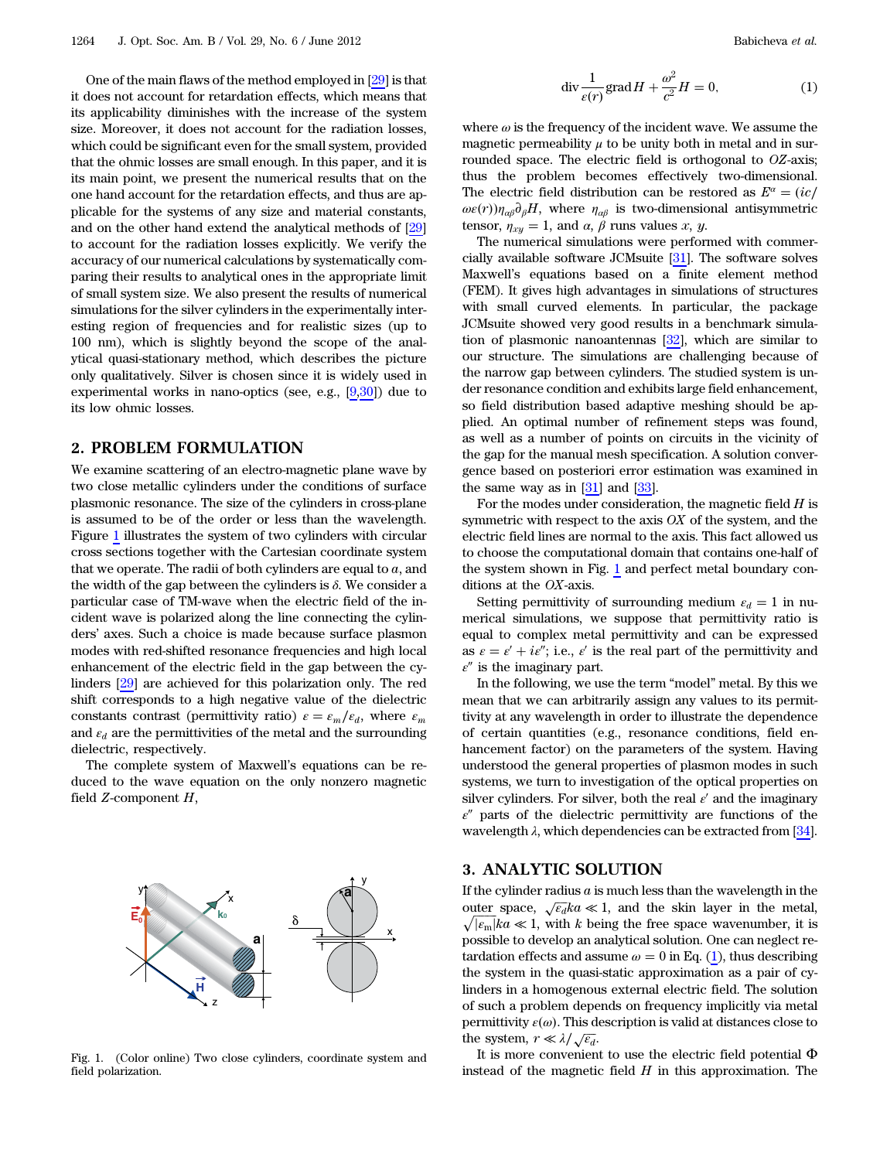One of the main flaws of the method employed in [[29\]](#page-6-22) is that it does not account for retardation effects, which means that its applicability diminishes with the increase of the system size. Moreover, it does not account for the radiation losses, which could be significant even for the small system, provided that the ohmic losses are small enough. In this paper, and it is its main point, we present the numerical results that on the one hand account for the retardation effects, and thus are applicable for the systems of any size and material constants, and on the other hand extend the analytical methods of [\[29](#page-6-22)] to account for the radiation losses explicitly. We verify the accuracy of our numerical calculations by systematically comparing their results to analytical ones in the appropriate limit of small system size. We also present the results of numerical simulations for the silver cylinders in the experimentally interesting region of frequencies and for realistic sizes (up to 100 nm), which is slightly beyond the scope of the analytical quasi-stationary method, which describes the picture only qualitatively. Silver is chosen since it is widely used in experimental works in nano-optics (see, e.g., [\[9,](#page-6-23)[30\]](#page-6-24)) due to its low ohmic losses.

### 2. PROBLEM FORMULATION

We examine scattering of an electro-magnetic plane wave by two close metallic cylinders under the conditions of surface plasmonic resonance. The size of the cylinders in cross-plane is assumed to be of the order or less than the wavelength. Figure [1](#page-1-0) illustrates the system of two cylinders with circular cross sections together with the Cartesian coordinate system that we operate. The radii of both cylinders are equal to  $a$ , and the width of the gap between the cylinders is  $\delta$ . We consider a particular case of TM-wave when the electric field of the incident wave is polarized along the line connecting the cylinders' axes. Such a choice is made because surface plasmon modes with red-shifted resonance frequencies and high local enhancement of the electric field in the gap between the cylinders [\[29](#page-6-22)] are achieved for this polarization only. The red shift corresponds to a high negative value of the dielectric constants contrast (permittivity ratio)  $\varepsilon = \varepsilon_m/\varepsilon_d$ , where  $\varepsilon_m$ and  $\varepsilon_d$  are the permittivities of the metal and the surrounding dielectric, respectively.

<span id="page-1-1"></span>The complete system of Maxwell's equations can be reduced to the wave equation on the only nonzero magnetic field  $Z$ -component  $H$ ,



$$
\operatorname{div}\frac{1}{\varepsilon(r)}\operatorname{grad} H + \frac{\omega^2}{c^2}H = 0,\tag{1}
$$

where  $\omega$  is the frequency of the incident wave. We assume the magnetic permeability  $\mu$  to be unity both in metal and in surrounded space. The electric field is orthogonal to OZ-axis; thus the problem becomes effectively two-dimensional. The electric field distribution can be restored as  $E^{\alpha} = (ic/\sqrt{2})$  $\omega\varepsilon(r)\eta_{\alpha\beta}\partial_{\beta}H$ , where  $\eta_{\alpha\beta}$  is two-dimensional antisymmetric tensor,  $\eta_{xy} = 1$ , and  $\alpha$ ,  $\beta$  runs values x, y.

The numerical simulations were performed with commercially available software JCMsuite [\[31](#page-6-25)]. The software solves Maxwell's equations based on a finite element method (FEM). It gives high advantages in simulations of structures with small curved elements. In particular, the package JCMsuite showed very good results in a benchmark simulation of plasmonic nanoantennas [[32\]](#page-6-26), which are similar to our structure. The simulations are challenging because of the narrow gap between cylinders. The studied system is under resonance condition and exhibits large field enhancement, so field distribution based adaptive meshing should be applied. An optimal number of refinement steps was found, as well as a number of points on circuits in the vicinity of the gap for the manual mesh specification. A solution convergence based on posteriori error estimation was examined in the same way as in  $[31]$  $[31]$  and  $[33]$  $[33]$ .

For the modes under consideration, the magnetic field  $H$  is symmetric with respect to the axis  $OX$  of the system, and the electric field lines are normal to the axis. This fact allowed us to choose the computational domain that contains one-half of the system shown in Fig. [1](#page-1-0) and perfect metal boundary conditions at the OX-axis.

Setting permittivity of surrounding medium  $\varepsilon_d = 1$  in numerical simulations, we suppose that permittivity ratio is equal to complex metal permittivity and can be expressed as  $\varepsilon = \varepsilon' + i\varepsilon''$ ; i.e.,  $\varepsilon'$  is the real part of the permittivity and  $\varepsilon$ " is the imaginary part.

In the following, we use the term "model" metal. By this we mean that we can arbitrarily assign any values to its permittivity at any wavelength in order to illustrate the dependence of certain quantities (e.g., resonance conditions, field enhancement factor) on the parameters of the system. Having understood the general properties of plasmon modes in such systems, we turn to investigation of the optical properties on silver cylinders. For silver, both the real  $\varepsilon'$  and the imaginary  $\varepsilon$ <sup>"</sup> parts of the dielectric permittivity are functions of the wavelength  $\lambda$ , which dependencies can be extracted from [[34\]](#page-6-28).

## 3. ANALYTIC SOLUTION

If the cylinder radius  $a$  is much less than the wavelength in the outer space,  $\sqrt{\epsilon_d}ka \ll 1$ , and the skin layer in the metal,  $\sqrt{|\varepsilon_{\mathrm{m}}|}ka \ll 1$ , with k being the free space wavenumber, it is possible to develop an analytical solution. One can neglect retardation effects and assume  $\omega = 0$  in Eq. ([1](#page-1-1)), thus describing the system in the quasi-static approximation as a pair of cylinders in a homogenous external electric field. The solution of such a problem depends on frequency implicitly via metal permittivity  $\varepsilon(\omega)$ . This description is valid at distances close to the system,  $r \ll \lambda / \sqrt{\varepsilon_d}$ .

It is more convenient to use the electric field potential Φ instead of the magnetic field  $H$  in this approximation. The

<span id="page-1-0"></span>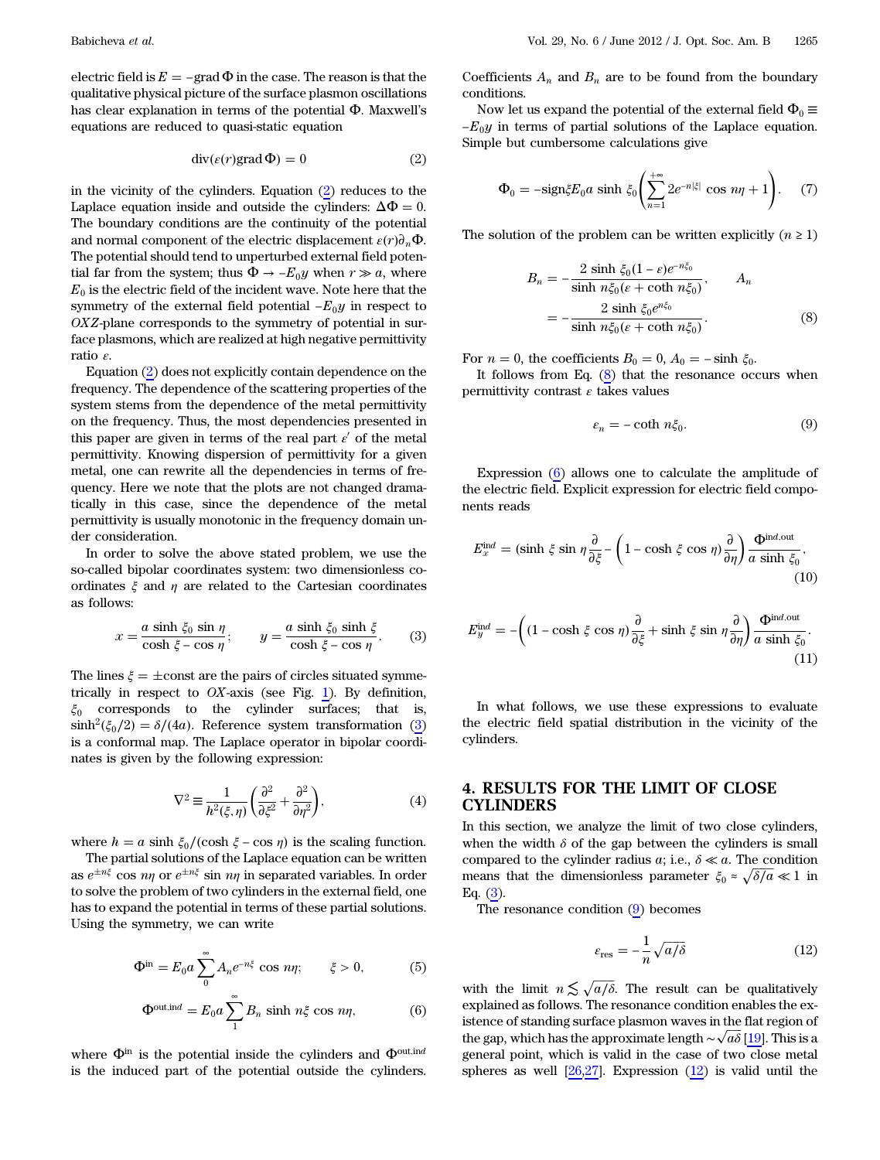<span id="page-2-0"></span>electric field is  $E = -\text{grad}\Phi$  in the case. The reason is that the qualitative physical picture of the surface plasmon oscillations has clear explanation in terms of the potential <sup>Φ</sup>. Maxwell'<sup>s</sup> equations are reduced to quasi-static equation

$$
\operatorname{div}(\varepsilon(r)\operatorname{grad}\Phi) = 0 \tag{2}
$$

in the vicinity of the cylinders. Equation  $(2)$  reduces to the Laplace equation inside and outside the cylinders:  $\Delta \Phi = 0$ . The boundary conditions are the continuity of the potential and normal component of the electric displacement  $\varepsilon(r)\partial_n\Phi$ . The potential should tend to unperturbed external field potential far from the system; thus  $\Phi \to -E_0y$  when  $r \gg a$ , where  $E_0$  is the electric field of the incident wave. Note here that the symmetry of the external field potential  $-E_0y$  in respect to OXZ-plane corresponds to the symmetry of potential in surface plasmons, which are realized at high negative permittivity ratio ε.

Equation ([2](#page-2-0)) does not explicitly contain dependence on the frequency. The dependence of the scattering properties of the system stems from the dependence of the metal permittivity on the frequency. Thus, the most dependencies presented in this paper are given in terms of the real part  $\varepsilon'$  of the metal permittivity. Knowing dispersion of permittivity for a given metal, one can rewrite all the dependencies in terms of frequency. Here we note that the plots are not changed dramatically in this case, since the dependence of the metal permittivity is usually monotonic in the frequency domain under consideration.

<span id="page-2-1"></span>In order to solve the above stated problem, we use the so-called bipolar coordinates system: two dimensionless coordinates  $\xi$  and  $\eta$  are related to the Cartesian coordinates as follows:

$$
x = \frac{a \sinh \xi_0 \sin \eta}{\cosh \xi - \cos \eta}; \qquad y = \frac{a \sinh \xi_0 \sinh \xi}{\cosh \xi - \cos \eta}. \tag{3}
$$

The lines  $\xi = \pm$ const are the pairs of circles situated symmetrically in respect to  $OX$ -axis (see Fig. [1\)](#page-1-0). By definition,  $\xi_0$  corresponds to the cylinder surfaces; that is,  $\sinh^2(\xi_0/2) = \delta/(4a)$ . Reference system transformation [\(3\)](#page-2-1) is a conformal map. The Laplace operator in bipolar coordinates is given by the following expression:

$$
\nabla^2 \equiv \frac{1}{h^2(\xi, \eta)} \left( \frac{\partial^2}{\partial \xi^2} + \frac{\partial^2}{\partial \eta^2} \right),\tag{4}
$$

where  $h = a \sinh \xi_0 / (\cosh \xi - \cos \eta)$  is the scaling function.

The partial solutions of the Laplace equation can be written as  $e^{\pm n\xi}$  cos  $n\eta$  or  $e^{\pm n\xi}$  sin  $n\eta$  in separated variables. In order to solve the problem of two cylinders in the external field, one has to expand the potential in terms of these partial solutions. Using the symmetry, we can write

<span id="page-2-3"></span>
$$
\Phi^{\text{in}} = E_0 a \sum_0^{\infty} A_n e^{-n\xi} \cos n\eta; \qquad \xi > 0,
$$
 (5)

$$
\Phi^{\text{out,ind}} = E_0 a \sum_{1}^{\infty} B_n \sinh n\xi \cos n\eta, \tag{6}
$$

where  $\Phi^{\text{in}}$  is the potential inside the cylinders and  $\Phi^{\text{out,ind}}$ is the induced part of the potential outside the cylinders.

Coefficients  $A_n$  and  $B_n$  are to be found from the boundary conditions.

Now let us expand the potential of the external field  $\Phi_0 \equiv$  $-E_0y$  in terms of partial solutions of the Laplace equation. Simple but cumbersome calculations give

$$
\Phi_0 = -\text{sign}\xi E_0 a \sinh \xi_0 \left(\sum_{n=1}^{+\infty} 2e^{-n|\xi|} \cos n\eta + 1\right). \tag{7}
$$

<span id="page-2-2"></span>The solution of the problem can be written explicitly  $(n \geq 1)$ 

$$
B_n = -\frac{2 \sinh \xi_0 (1 - \varepsilon) e^{-n\xi_0}}{\sinh n\xi_0 (\varepsilon + \coth n\xi_0)}, \qquad A_n
$$
  
= 
$$
-\frac{2 \sinh \xi_0 e^{n\xi_0}}{\sinh n\xi_0 (\varepsilon + \coth n\xi_0)}.
$$
 (8)

For  $n = 0$ , the coefficients  $B_0 = 0$ ,  $A_0 = -\sinh \xi_0$ .

<span id="page-2-4"></span>It follows from Eq.  $(8)$  $(8)$  $(8)$  that the resonance occurs when permittivity contrast  $\varepsilon$  takes values

$$
\varepsilon_n = -\coth n\xi_0. \tag{9}
$$

Expression  $(6)$  $(6)$  $(6)$  allows one to calculate the amplitude of the electric field. Explicit expression for electric field components reads

$$
E_x^{\text{ind}} = (\sinh \xi \sin \eta \frac{\partial}{\partial \xi} - \left(1 - \cosh \xi \cos \eta \right) \frac{\partial}{\partial \eta} \frac{\Phi^{\text{ind,out}}}{a \sinh \xi_0},\tag{10}
$$

$$
E_y^{\text{ind}} = -\left((1 - \cosh \xi \cos \eta) \frac{\partial}{\partial \xi} + \sinh \xi \sin \eta \frac{\partial}{\partial \eta}\right) \frac{\Phi^{\text{ind,out}}}{a \sinh \xi_0}.
$$
\n(11)

In what follows, we use these expressions to evaluate the electric field spatial distribution in the vicinity of the cylinders.

### 4. RESULTS FOR THE LIMIT OF CLOSE CYLINDERS

In this section, we analyze the limit of two close cylinders, when the width  $\delta$  of the gap between the cylinders is small compared to the cylinder radius  $a$ ; i.e.,  $\delta \ll a$ . The condition means that the dimensionless parameter  $\xi_0 \approx \sqrt{\delta/a} \ll 1$  in Eq. [\(3\)](#page-2-1).

<span id="page-2-5"></span>The resonance condition [\(9\)](#page-2-4) becomes

$$
\varepsilon_{\rm res} = -\frac{1}{n}\sqrt{a/\delta} \tag{12}
$$

with the limit  $n \lesssim \sqrt{a/\delta}$ . The result can be qualitatively explained as follows. The resonance condition enables the existence of standing surface plasmon waves in the flat region of the gap, which has the approximate length  $\sim \sqrt{a\delta}$  [[19\]](#page-6-13). This is a general point, which is valid in the case of two close metal spheres as well  $[26,27]$  $[26,27]$  $[26,27]$ . Expression  $(12)$  $(12)$  is valid until the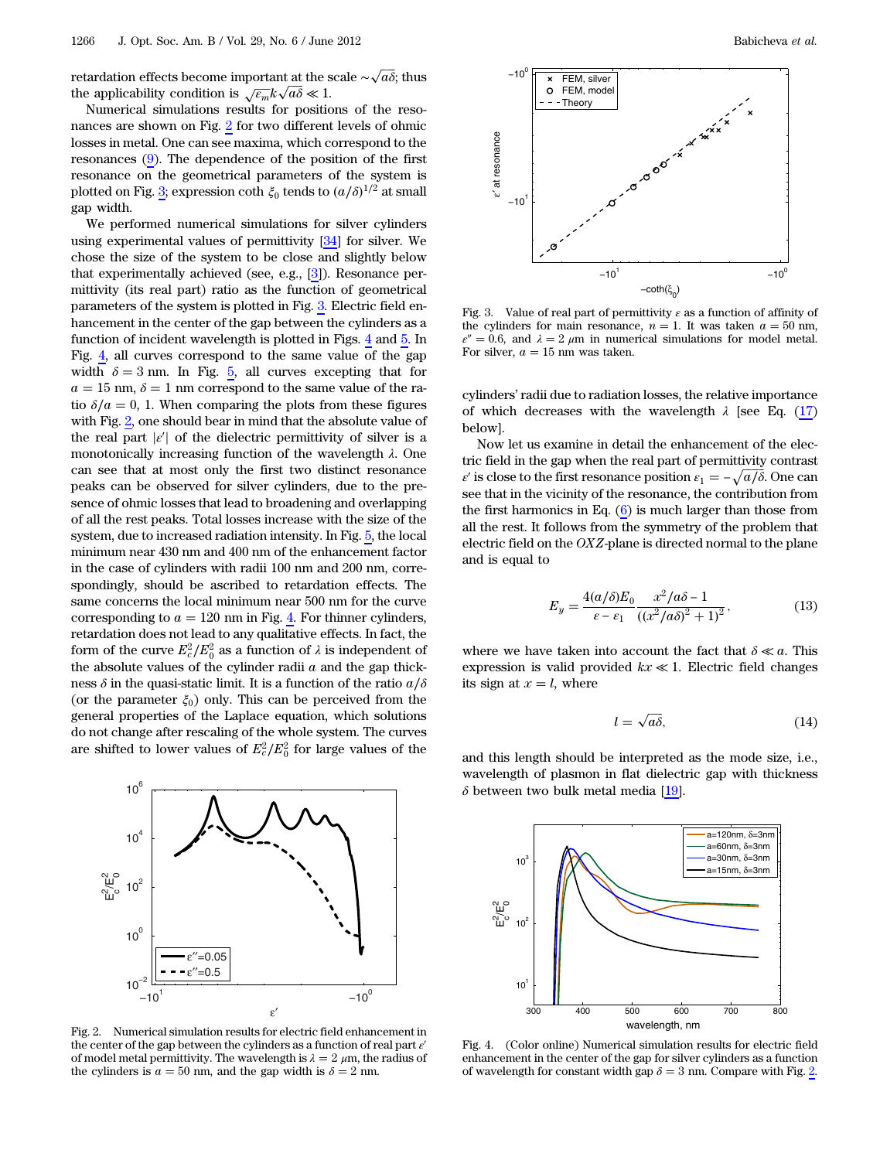retardation effects become important at the scale  $\sim$   $\sqrt{a\delta}$ ; thus the applicability condition is  $\sqrt{\varepsilon_m}k\sqrt{a\delta} \ll 1$ .

Numerical simulations results for positions of the resonances are shown on Fig. [2](#page-3-0) for two different levels of ohmic losses in metal. One can see maxima, which correspond to the resonances [\(9\)](#page-2-4). The dependence of the position of the first resonance on the geometrical parameters of the system is plotted on Fig. <u>3</u>; expression coth  $\xi_0$  tends to  $(a/\delta)^{1/2}$  at small gap width.

We performed numerical simulations for silver cylinders using experimental values of permittivity [\[34\]](#page-6-28) for silver. We chose the size of the system to be close and slightly below that experimentally achieved (see, e.g., [\[3\]](#page-6-0)). Resonance permittivity (its real part) ratio as the function of geometrical parameters of the system is plotted in Fig. [3.](#page-3-1) Electric field enhancement in the center of the gap between the cylinders as a function of incident wavelength is plotted in Figs. [4](#page-3-2) and [5](#page-4-0). In Fig. [4](#page-3-2), all curves correspond to the same value of the gap width  $\delta = 3$  nm. In Fig.  $\frac{5}{9}$  $\frac{5}{9}$  $\frac{5}{9}$ , all curves excepting that for  $a = 15$  nm,  $\delta = 1$  nm correspond to the same value of the ratio  $\delta/a = 0$ , 1. When comparing the plots from these figures with Fig. [2,](#page-3-0) one should bear in mind that the absolute value of the real part  $|\varepsilon'|$  of the dielectric permittivity of silver is a monotonically increasing function of the wavelength λ. One can see that at most only the first two distinct resonance peaks can be observed for silver cylinders, due to the presence of ohmic losses that lead to broadening and overlapping of all the rest peaks. Total losses increase with the size of the system, due to increased radiation intensity. In Fig. [5,](#page-4-0) the local minimum near 430 nm and 400 nm of the enhancement factor in the case of cylinders with radii 100 nm and 200 nm, correspondingly, should be ascribed to retardation effects. The same concerns the local minimum near 500 nm for the curve corresponding to  $a = 120$  nm in Fig. [4](#page-3-2). For thinner cylinders, retardation does not lead to any qualitative effects. In fact, the form of the curve  $E_c^2/E_0^2$  as a function of  $\lambda$  is independent of the absolute values of the cylinder radii  $a$  and the gap thickness  $\delta$  in the quasi-static limit. It is a function of the ratio  $a/\delta$ (or the parameter  $\xi_0$ ) only. This can be perceived from the general properties of the Laplace equation, which solutions do not change after rescaling of the whole system. The curves are shifted to lower values of  $E_c^2/E_0^2$  for large values of the

<span id="page-3-0"></span>

Fig. 2. Numerical simulation results for electric field enhancement in the center of the gap between the cylinders as a function of real part  $\varepsilon'$ of model metal permittivity. The wavelength is  $\lambda = 2 \mu m$ , the radius of the cylinders is  $a = 50$  nm, and the gap width is  $\delta = 2$  nm.

<span id="page-3-1"></span>

Fig. 3. Value of real part of permittivity  $\varepsilon$  as a function of affinity of the cylinders for main resonance,  $n = 1$ . It was taken  $a = 50$  nm,  $\varepsilon'' = 0.6$ , and  $\lambda = 2 \mu m$  in numerical simulations for model metal. For silver,  $a = 15$  nm was taken.

cylinders' radii due to radiation losses, the relative importance of which decreases with the wavelength  $\lambda$  [see Eq. ([17\)](#page-5-2) below].

Now let us examine in detail the enhancement of the electric field in the gap when the real part of permittivity contrast  $\varepsilon'$  is close to the first resonance position  $\varepsilon_1 = -\sqrt{a/\delta}$ . One can see that in the vicinity of the resonance, the contribution from the first harmonics in Eq.  $(6)$  $(6)$  $(6)$  is much larger than those from all the rest. It follows from the symmetry of the problem that electric field on the OXZ-plane is directed normal to the plane and is equal to

<span id="page-3-3"></span>
$$
E_y = \frac{4(a/\delta)E_0}{\varepsilon - \varepsilon_1} \frac{x^2/a\delta - 1}{((x^2/a\delta)^2 + 1)^2},
$$
(13)

where we have taken into account the fact that  $\delta \ll a$ . This expression is valid provided  $kx \ll 1$ . Electric field changes its sign at  $x = l$ , where

$$
l = \sqrt{a\delta},\tag{14}
$$

and this length should be interpreted as the mode size, i.e., wavelength of plasmon in flat dielectric gap with thickness  $\delta$  between two bulk metal media [[19\]](#page-6-13).

<span id="page-3-2"></span>

Fig. 4. (Color online) Numerical simulation results for electric field enhancement in the center of the gap for silver cylinders as a function of wavelength for constant width gap  $\delta = 3$  nm. Compare with Fig. [2](#page-3-0).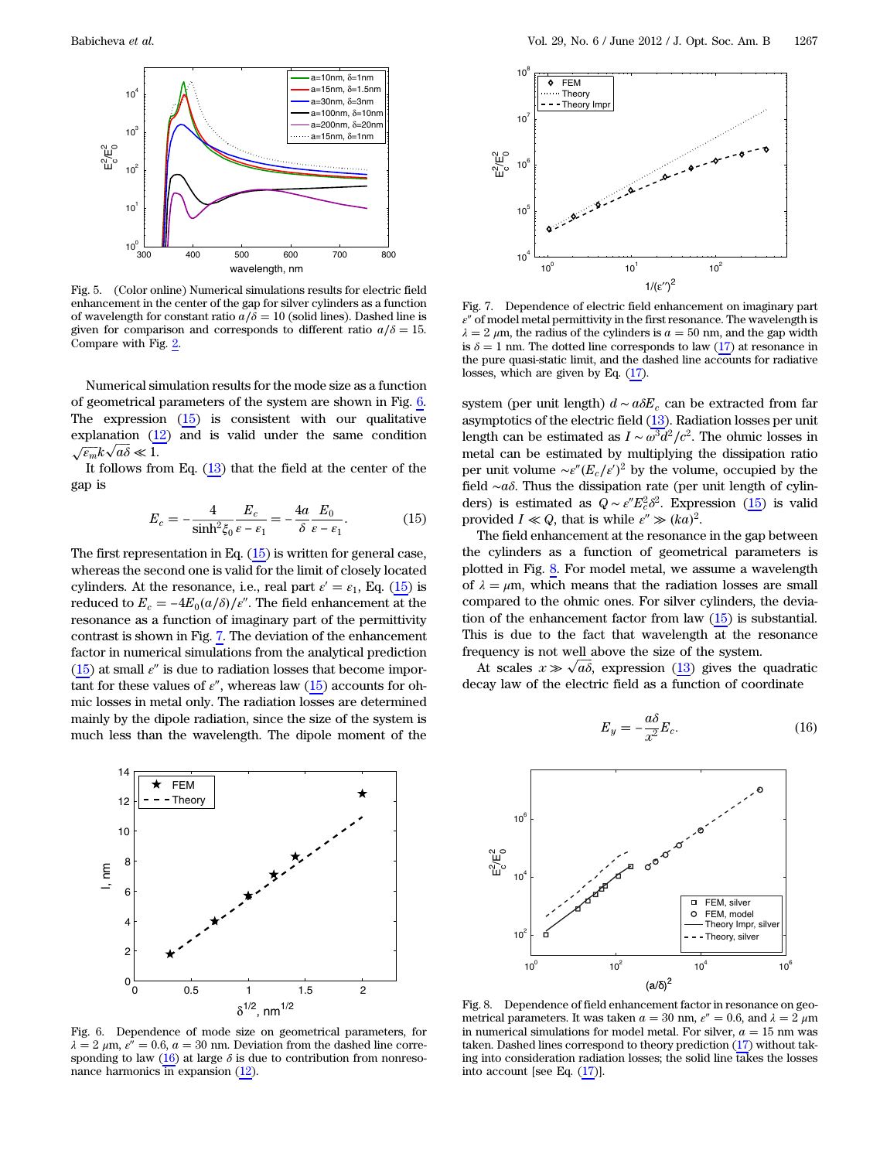<span id="page-4-0"></span>

Fig. 5. (Color online) Numerical simulations results for electric field enhancement in the center of the gap for silver cylinders as a function of wavelength for constant ratio  $a/\delta = 10$  (solid lines). Dashed line is given for comparison and corresponds to different ratio  $a/\delta = 15$ . Compare with Fig. [2](#page-3-0).

Numerical simulation results for the mode size as a function of geometrical parameters of the system are shown in Fig. [6.](#page-4-1) The expression  $(15)$  $(15)$  is consistent with our qualitative explanation  $(12)$  $(12)$  and is valid under the same condition  $\sqrt{\varepsilon_m} k \sqrt{a\delta} \ll 1.$ 

<span id="page-4-2"></span>It follows from Eq.  $(13)$  $(13)$  that the field at the center of the gap is

$$
E_c = -\frac{4}{\sinh^2 \xi_0} \frac{E_c}{\epsilon - \epsilon_1} = -\frac{4a}{\delta} \frac{E_0}{\epsilon - \epsilon_1}.
$$
 (15)

The first representation in Eq.  $(15)$  $(15)$  is written for general case, whereas the second one is valid for the limit of closely located cylinders. At the resonance, i.e., real part  $\varepsilon' = \varepsilon_1$ , Eq. [\(15](#page-4-2)) is reduced to  $E_c = -4E_0(a/\delta)/\varepsilon^{\prime\prime}$ . The field enhancement  $\overline{\text{at}}$  the resonance as a function of imaginary part of the permittivity contrast is shown in Fig. [7](#page-4-3). The deviation of the enhancement factor in numerical simulations from the analytical prediction ([15](#page-4-2)) at small  $\varepsilon$ <sup>*''*</sup> is due to radiation losses that become important for these values of  $\varepsilon$ ", whereas law ([15\)](#page-4-2) accounts for ohmic losses in metal only. The radiation losses are determined mainly by the dipole radiation, since the size of the system is much less than the wavelength. The dipole moment of the

<span id="page-4-1"></span>

Fig. 6. Dependence of mode size on geometrical parameters, for  $\lambda = 2 \mu m$ ,  $\varepsilon'' = 0.6$ ,  $a = 30 \text{ nm}$ . Deviation from the dashed line corre-sponding to law [\(16](#page-4-5)) at large  $\delta$  is due to contribution from nonresonance harmonics in expansion  $(12)$  $(12)$ .

<span id="page-4-3"></span>

Fig. 7. Dependence of electric field enhancement on imaginary part  $\varepsilon$ " of model metal permittivity in the first resonance. The wavelength is  $\lambda = 2 \mu$ m, the radius of the cylinders is  $a = 50$  nm, and the gap width is  $\delta = 1$  nm. The dotted line corresponds to law ([17\)](#page-5-2) at resonance in the pure quasi-static limit, and the dashed line accounts for radiative losses, which are given by Eq. [\(17](#page-5-2)).

system (per unit length)  $d \sim a \delta E_c$  can be extracted from far asymptotics of the electric field [\(13](#page-3-3)). Radiation losses per unit length can be estimated as  $I \sim \omega^3 d^2/c^2$ . The ohmic losses in metal can be estimated by multiplying the dissipation ratio per unit volume  $\sim \varepsilon'' (E_c/\varepsilon')^2$  by the volume, occupied by the field ∼aδ. Thus the dissipation rate (per unit length of cylinders) is estimated as  $Q \sim \varepsilon'' E_c^2 \delta^2$ . Expression ([15\)](#page-4-2) is valid provided  $I \ll Q$ , that is while  $\varepsilon'' \gg (ka)^2$ .

The field enhancement at the resonance in the gap between the cylinders as a function of geometrical parameters is plotted in Fig. [8.](#page-4-4) For model metal, we assume a wavelength of  $\lambda = \mu m$ , which means that the radiation losses are small compared to the ohmic ones. For silver cylinders, the deviation of the enhancement factor from law  $(15)$  $(15)$  is substantial. This is due to the fact that wavelength at the resonance frequency is not well above the size of the system.

<span id="page-4-5"></span>At scales  $x \gg \sqrt{a\delta}$ , expression ([13\)](#page-3-3) gives the quadratic decay law of the electric field as a function of coordinate



<span id="page-4-4"></span>

Fig. 8. Dependence of field enhancement factor in resonance on geometrical parameters. It was taken  $a = 30$  nm,  $\varepsilon'' = 0.6$ , and  $\lambda = 2 \mu m$ in numerical simulations for model metal. For silver,  $a = 15$  nm was taken. Dashed lines correspond to theory prediction [\(17](#page-5-2)) without taking into consideration radiation losses; the solid line takes the losses into account [see Eq. ([17\)](#page-5-2)].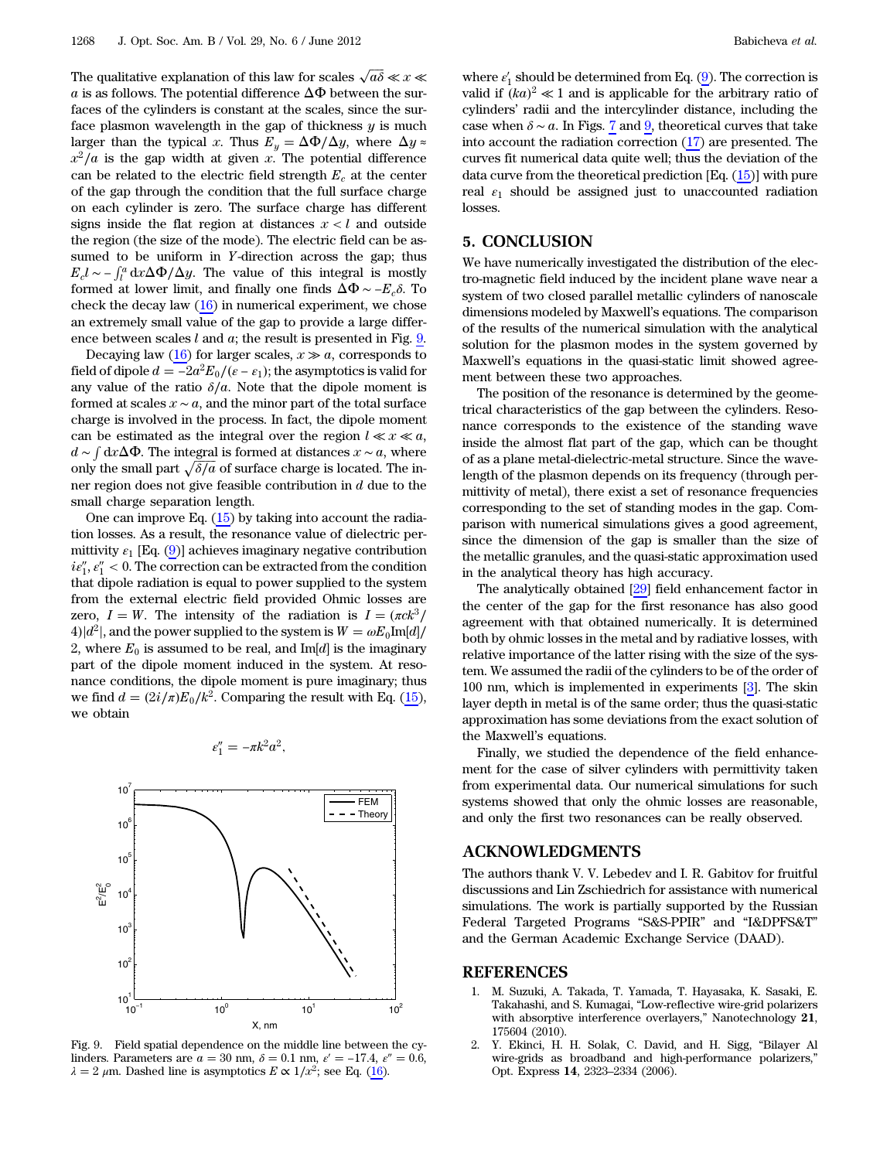The qualitative explanation of this law for scales  $\sqrt{a\delta} \ll x \ll$ a is as follows. The potential difference  $\Delta\Phi$  between the surfaces of the cylinders is constant at the scales, since the surface plasmon wavelength in the gap of thickness  $y$  is much larger than the typical x. Thus  $E_y = \Delta \Phi / \Delta y$ , where  $\Delta y \approx$  $x^2/a$  is the gap width at given x. The potential difference can be related to the electric field strength  $E_c$  at the center of the gap through the condition that the full surface charge on each cylinder is zero. The surface charge has different signs inside the flat region at distances  $x < l$  and outside the region (the size of the mode). The electric field can be assumed to be uniform in Y-direction across the gap; thus  $E_c l \sim -\int_l^a dx \Delta \Phi / \Delta y$ . The value of this integral is mostly formed at lower limit, and finally one finds  $\Delta \Phi \sim -E_c \delta$ . To check the decay law ([16\)](#page-4-5) in numerical experiment, we chose an extremely small value of the gap to provide a large difference between scales  $l$  and  $a$ ; the result is presented in Fig. [9.](#page-5-3)

Decaying law [\(16](#page-4-5)) for larger scales,  $x \gg a$ , corresponds to field of dipole  $d = -2a^2 E_0/(\varepsilon - \varepsilon_1)$ ; the asymptotics is valid for any value of the ratio  $\delta/a$ . Note that the dipole moment is formed at scales  $x \sim a$ , and the minor part of the total surface charge is involved in the process. In fact, the dipole moment can be estimated as the integral over the region  $l \ll x \ll a$ ,  $d \sim \int dx \Delta \Phi$ . The integral is formed at distances  $x \sim a$ , where only the small part  $\sqrt{\delta/a}$  of surface charge is located. The inner region does not give feasible contribution in  $d$  due to the small charge separation length.

One can improve Eq.  $(15)$  $(15)$  by taking into account the radiation losses. As a result, the resonance value of dielectric permittivity  $\varepsilon_1$  [Eq. [\(9\)](#page-2-4)] achieves imaginary negative contribution  $i\varepsilon_1'', \varepsilon_1'' < 0$ . The correction can be extracted from the condition that dipole radiation is equal to power supplied to the system from the external electric field provided Ohmic losses are zero,  $I = W$ . The intensity of the radiation is  $I = (\pi c k^3)$ 4) $|d^2|$ , and the power supplied to the system is  $W = \omega E_0 \text{Im}[d]/$ 2, where  $E_0$  is assumed to be real, and Im[d] is the imaginary part of the dipole moment induced in the system. At resonance conditions, the dipole moment is pure imaginary; thus we find  $d = \frac{2i}{\pi}E_0/k^2$ . Comparing the result with Eq. [\(15](#page-4-2)), we obtain



<span id="page-5-3"></span><span id="page-5-2"></span>

Fig. 9. Field spatial dependence on the middle line between the cylinders. Parameters are  $a = 30$  nm,  $\delta = 0.1$  nm,  $\varepsilon' = -17.4$ ,  $\varepsilon'' = 0.6$ ,  $\lambda = 2 \mu$ m. Dashed line is asymptotics  $E \propto 1/x^2$ ; see Eq. [\(16](#page-4-5)).

where  $\varepsilon_1'$  should be determined from Eq. ([9](#page-2-4)). The correction is valid if  $(ka)^2 \ll 1$  and is applicable for the arbitrary ratio of cylinders' radii and the intercylinder distance, including the case when  $\delta \sim a$ . In Figs. [7](#page-4-3) and [9,](#page-5-3) theoretical curves that take into account the radiation correction [\(17](#page-5-2)) are presented. The curves fit numerical data quite well; thus the deviation of the data curve from the theoretical prediction  $[Eq. (15)]$  $[Eq. (15)]$  $[Eq. (15)]$  with pure real  $\varepsilon_1$  should be assigned just to unaccounted radiation losses.

## 5. CONCLUSION

We have numerically investigated the distribution of the electro-magnetic field induced by the incident plane wave near a system of two closed parallel metallic cylinders of nanoscale dimensions modeled by Maxwell's equations. The comparison of the results of the numerical simulation with the analytical solution for the plasmon modes in the system governed by Maxwell's equations in the quasi-static limit showed agreement between these two approaches.

The position of the resonance is determined by the geometrical characteristics of the gap between the cylinders. Resonance corresponds to the existence of the standing wave inside the almost flat part of the gap, which can be thought of as a plane metal-dielectric-metal structure. Since the wavelength of the plasmon depends on its frequency (through permittivity of metal), there exist a set of resonance frequencies corresponding to the set of standing modes in the gap. Comparison with numerical simulations gives a good agreement, since the dimension of the gap is smaller than the size of the metallic granules, and the quasi-static approximation used in the analytical theory has high accuracy.

The analytically obtained [[29\]](#page-6-22) field enhancement factor in the center of the gap for the first resonance has also good agreement with that obtained numerically. It is determined both by ohmic losses in the metal and by radiative losses, with relative importance of the latter rising with the size of the system. We assumed the radii of the cylinders to be of the order of 100 nm, which is implemented in experiments [\[3\]](#page-6-0). The skin layer depth in metal is of the same order; thus the quasi-static approximation has some deviations from the exact solution of the Maxwell's equations.

Finally, we studied the dependence of the field enhancement for the case of silver cylinders with permittivity taken from experimental data. Our numerical simulations for such systems showed that only the ohmic losses are reasonable, and only the first two resonances can be really observed.

## ACKNOWLEDGMENTS

The authors thank V. V. Lebedev and I. R. Gabitov for fruitful discussions and Lin Zschiedrich for assistance with numerical simulations. The work is partially supported by the Russian Federal Targeted Programs "S&S-PPIR" and "I&DPFS&T" and the German Academic Exchange Service (DAAD).

#### <span id="page-5-0"></span>REFERENCES

- 1. M. Suzuki, A. Takada, T. Yamada, T. Hayasaka, K. Sasaki, E. Takahashi, and S. Kumagai, "Low-reflective wire-grid polarizers with absorptive interference overlayers," Nanotechnology <sup>21</sup>, 175604 (2010).
- <span id="page-5-1"></span>2. Y. Ekinci, H. H. Solak, C. David, and H. Sigg, "Bilayer Al wire-grids as broadband and high-performance polarizers,' Opt. Express <sup>14</sup>, 2323–2334 (2006).